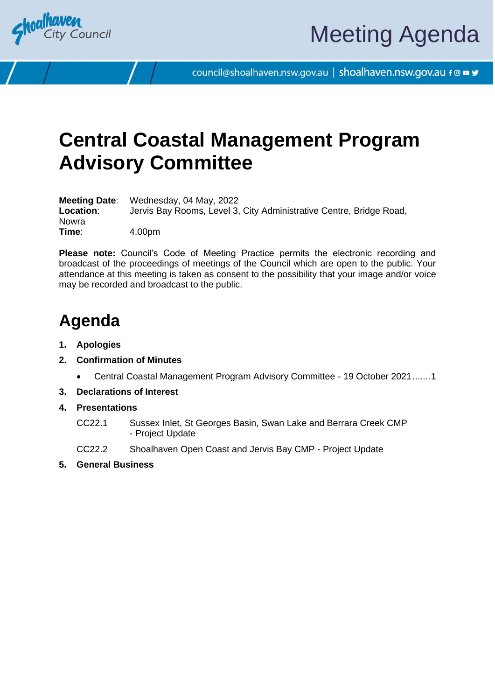

council@shoalhaven.nsw.gov.au | shoalhaven.nsw.gov.au f @ ■ y

## **Central Coastal Management Program Advisory Committee**

**Meeting Date**: Wednesday, 04 May, 2022 **Location**: Jervis Bay Rooms, Level 3, City Administrative Centre, Bridge Road, Nowra<br>Time: **Time**: 4.00pm

**Please note:** Council's Code of Meeting Practice permits the electronic recording and broadcast of the proceedings of meetings of the Council which are open to the public. Your attendance at this meeting is taken as consent to the possibility that your image and/or voice may be recorded and broadcast to the public.

## **Agenda**

- **1. Apologies**
- **2. Confirmation of Minutes**
	- Central Coastal Management Program Advisory Committee 19 October 2021......[.1](#page-3-0)
- **3. Declarations of Interest**
- **4. Presentations**
	- CC22.1 Sussex Inlet, St Georges Basin, Swan Lake and Berrara Creek CMP - Project Update
	- CC22.2 Shoalhaven Open Coast and Jervis Bay CMP Project Update
- **5. General Business**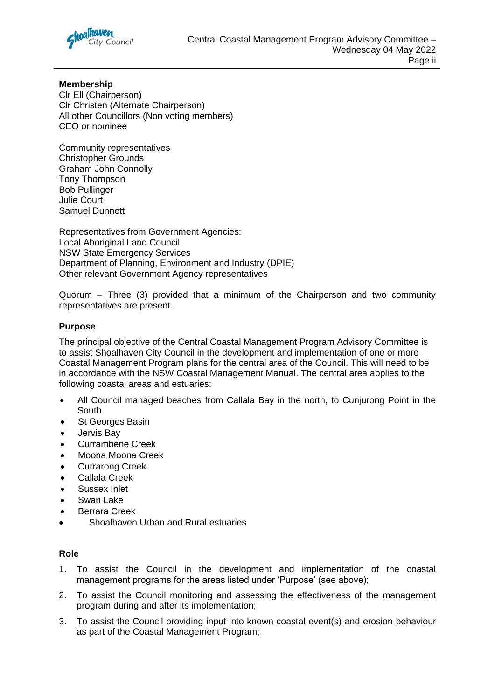

**Membership** Clr Ell (Chairperson) Clr Christen (Alternate Chairperson) All other Councillors (Non voting members) CEO or nominee

Community representatives Christopher Grounds Graham John Connolly Tony Thompson Bob Pullinger Julie Court Samuel Dunnett

Representatives from Government Agencies: Local Aboriginal Land Council NSW State Emergency Services Department of Planning, Environment and Industry (DPIE) Other relevant Government Agency representatives

Quorum – Three (3) provided that a minimum of the Chairperson and two community representatives are present.

#### **Purpose**

The principal objective of the Central Coastal Management Program Advisory Committee is to assist Shoalhaven City Council in the development and implementation of one or more Coastal Management Program plans for the central area of the Council. This will need to be in accordance with the NSW Coastal Management Manual. The central area applies to the following coastal areas and estuaries:

- All Council managed beaches from Callala Bay in the north, to Cunjurong Point in the **South**
- St Georges Basin
- Jervis Bay
- Currambene Creek
- Moona Moona Creek
- Currarong Creek
- Callala Creek
- Sussex Inlet
- Swan Lake
- Berrara Creek
- Shoalhaven Urban and Rural estuaries

#### **Role**

- 1. To assist the Council in the development and implementation of the coastal management programs for the areas listed under 'Purpose' (see above);
- 2. To assist the Council monitoring and assessing the effectiveness of the management program during and after its implementation;
- 3. To assist the Council providing input into known coastal event(s) and erosion behaviour as part of the Coastal Management Program;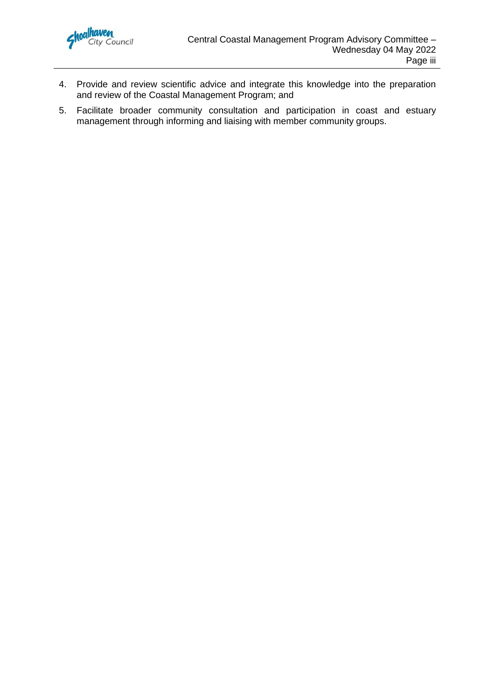

- 4. Provide and review scientific advice and integrate this knowledge into the preparation and review of the Coastal Management Program; and
- 5. Facilitate broader community consultation and participation in coast and estuary management through informing and liaising with member community groups.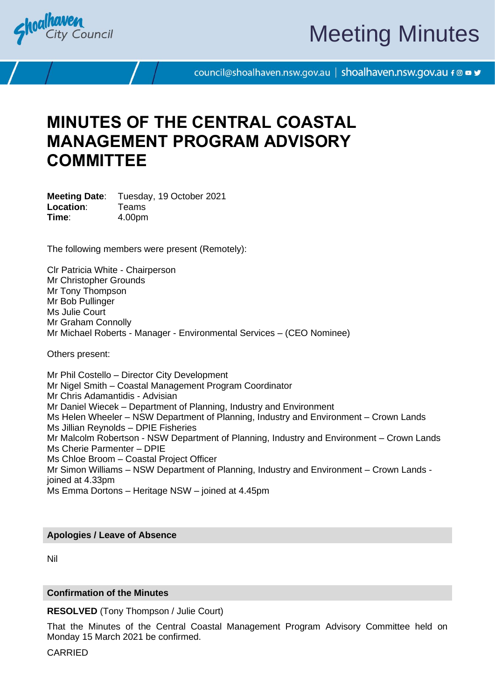<span id="page-3-0"></span>

# Meeting Minutes

council@shoalhaven.nsw.gov.au | shoalhaven.nsw.gov.au f @ ■ y

## **MINUTES OF THE CENTRAL COASTAL MANAGEMENT PROGRAM ADVISORY COMMITTEE**

**Meeting Date**: Tuesday, 19 October 2021 **Location**: Teams **Time**: 4.00pm

The following members were present (Remotely):

Clr Patricia White - Chairperson Mr Christopher Grounds Mr Tony Thompson Mr Bob Pullinger Ms Julie Court Mr Graham Connolly Mr Michael Roberts - Manager - Environmental Services – (CEO Nominee)

Others present:

Mr Phil Costello – Director City Development Mr Nigel Smith – Coastal Management Program Coordinator Mr Chris Adamantidis - Advisian Mr Daniel Wiecek – Department of Planning, Industry and Environment Ms Helen Wheeler – NSW Department of Planning, Industry and Environment – Crown Lands Ms Jillian Reynolds – DPIE Fisheries Mr Malcolm Robertson - NSW Department of Planning, Industry and Environment – Crown Lands Ms Cherie Parmenter – DPIE Ms Chloe Broom – Coastal Project Officer Mr Simon Williams – NSW Department of Planning, Industry and Environment – Crown Lands joined at 4.33pm Ms Emma Dortons – Heritage NSW – joined at 4.45pm

#### **Apologies / Leave of Absence**

Nil

#### **Confirmation of the Minutes**

**RESOLVED** (Tony Thompson / Julie Court)

That the Minutes of the Central Coastal Management Program Advisory Committee held on Monday 15 March 2021 be confirmed.

CARRIED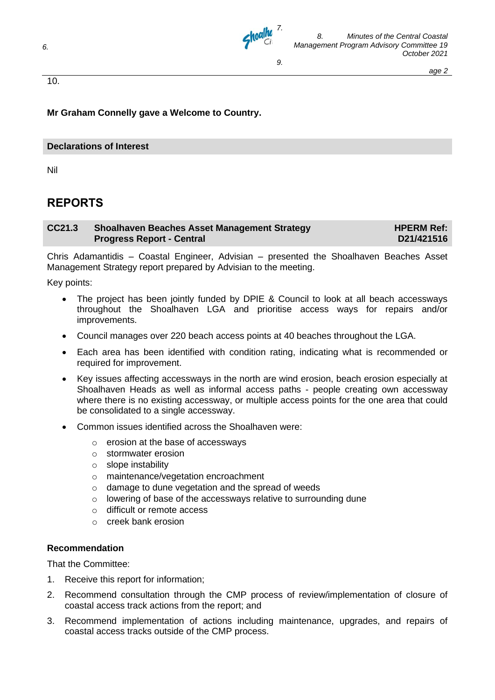

10.

**Mr Graham Connelly gave a Welcome to Country.**

#### **Declarations of Interest**

Nil

### **REPORTS**

#### **CC21.3 Shoalhaven Beaches Asset Management Strategy Progress Report - Central HPERM Ref: D21/421516**

Chris Adamantidis – Coastal Engineer, Advisian – presented the Shoalhaven Beaches Asset Management Strategy report prepared by Advisian to the meeting.

Key points:

- The project has been jointly funded by DPIE & Council to look at all beach accessways throughout the Shoalhaven LGA and prioritise access ways for repairs and/or improvements.
- Council manages over 220 beach access points at 40 beaches throughout the LGA.
- Each area has been identified with condition rating, indicating what is recommended or required for improvement.
- Key issues affecting accessways in the north are wind erosion, beach erosion especially at Shoalhaven Heads as well as informal access paths - people creating own accessway where there is no existing accessway, or multiple access points for the one area that could be consolidated to a single accessway.
- Common issues identified across the Shoalhaven were:
	- o erosion at the base of accessways
	- o stormwater erosion
	- o slope instability
	- o maintenance/vegetation encroachment
	- o damage to dune vegetation and the spread of weeds
	- o lowering of base of the accessways relative to surrounding dune
	- o difficult or remote access
	- o creek bank erosion

#### **Recommendation**

That the Committee:

- 1. Receive this report for information;
- 2. Recommend consultation through the CMP process of review/implementation of closure of coastal access track actions from the report; and
- 3. Recommend implementation of actions including maintenance, upgrades, and repairs of coastal access tracks outside of the CMP process.

*6.*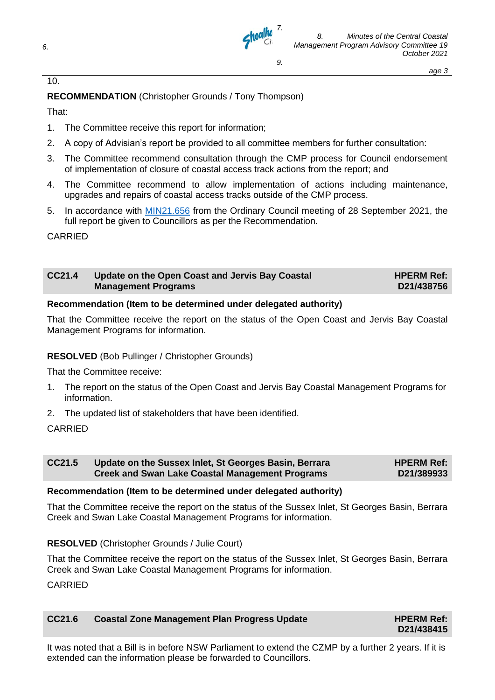

*6.*



*8. Minutes of the Central Coastal Management Program Advisory Committee 19 October 2021* 

*age 3*

#### 10.

#### **RECOMMENDATION** (Christopher Grounds / Tony Thompson)

That:

- 1. The Committee receive this report for information;
- 2. A copy of Advisian's report be provided to all committee members for further consultation:
- 3. The Committee recommend consultation through the CMP process for Council endorsement of implementation of closure of coastal access track actions from the report; and
- 4. The Committee recommend to allow implementation of actions including maintenance, upgrades and repairs of coastal access tracks outside of the CMP process.
- 5. In accordance with [MIN21.656](https://shoalhaven.infocouncil.biz/Open/2021/09/CL_20210928_MIN_16430_WEB.htm) from the Ordinary Council meeting of 28 September 2021, the full report be given to Councillors as per the Recommendation.

CARRIED

| CC21.4 | Update on the Open Coast and Jervis Bay Coastal<br><b>Management Programs</b> | <b>HPERM Ref:</b><br>D21/438756 |
|--------|-------------------------------------------------------------------------------|---------------------------------|
|        |                                                                               |                                 |

#### **Recommendation (Item to be determined under delegated authority)**

That the Committee receive the report on the status of the Open Coast and Jervis Bay Coastal Management Programs for information.

#### **RESOLVED** (Bob Pullinger / Christopher Grounds)

That the Committee receive:

- 1. The report on the status of the Open Coast and Jervis Bay Coastal Management Programs for information.
- 2. The updated list of stakeholders that have been identified.

#### CARRIED

| CC21.5 | Update on the Sussex Inlet, St Georges Basin, Berrara  | <b>HPERM Ref:</b> |
|--------|--------------------------------------------------------|-------------------|
|        | <b>Creek and Swan Lake Coastal Management Programs</b> | D21/389933        |

#### **Recommendation (Item to be determined under delegated authority)**

That the Committee receive the report on the status of the Sussex Inlet, St Georges Basin, Berrara Creek and Swan Lake Coastal Management Programs for information.

#### **RESOLVED** (Christopher Grounds / Julie Court)

That the Committee receive the report on the status of the Sussex Inlet, St Georges Basin, Berrara Creek and Swan Lake Coastal Management Programs for information.

CARRIED

| CC21.6 | Coastal Zone Management Plan Progress Update |  |
|--------|----------------------------------------------|--|
|--------|----------------------------------------------|--|

It was noted that a Bill is in before NSW Parliament to extend the CZMP by a further 2 years. If it is extended can the information please be forwarded to Councillors.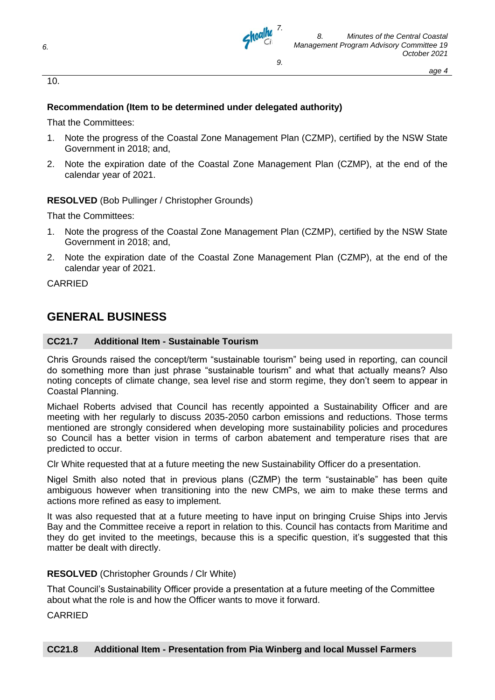

*8. Minutes of the Central Coastal Management Program Advisory Committee 19 October 2021* 

#### **Recommendation (Item to be determined under delegated authority)**

That the Committees:

- 1. Note the progress of the Coastal Zone Management Plan (CZMP), certified by the NSW State Government in 2018; and,
- 2. Note the expiration date of the Coastal Zone Management Plan (CZMP), at the end of the calendar year of 2021.

**RESOLVED** (Bob Pullinger / Christopher Grounds)

That the Committees:

- 1. Note the progress of the Coastal Zone Management Plan (CZMP), certified by the NSW State Government in 2018; and,
- 2. Note the expiration date of the Coastal Zone Management Plan (CZMP), at the end of the calendar year of 2021.

CARRIED

### **GENERAL BUSINESS**

#### **CC21.7 Additional Item - Sustainable Tourism**

Chris Grounds raised the concept/term "sustainable tourism" being used in reporting, can council do something more than just phrase "sustainable tourism" and what that actually means? Also noting concepts of climate change, sea level rise and storm regime, they don't seem to appear in Coastal Planning.

Michael Roberts advised that Council has recently appointed a Sustainability Officer and are meeting with her regularly to discuss 2035-2050 carbon emissions and reductions. Those terms mentioned are strongly considered when developing more sustainability policies and procedures so Council has a better vision in terms of carbon abatement and temperature rises that are predicted to occur.

Clr White requested that at a future meeting the new Sustainability Officer do a presentation.

Nigel Smith also noted that in previous plans (CZMP) the term "sustainable" has been quite ambiguous however when transitioning into the new CMPs, we aim to make these terms and actions more refined as easy to implement.

It was also requested that at a future meeting to have input on bringing Cruise Ships into Jervis Bay and the Committee receive a report in relation to this. Council has contacts from Maritime and they do get invited to the meetings, because this is a specific question, it's suggested that this matter be dealt with directly.

#### **RESOLVED** (Christopher Grounds / Clr White)

That Council's Sustainability Officer provide a presentation at a future meeting of the Committee about what the role is and how the Officer wants to move it forward.

CARRIED